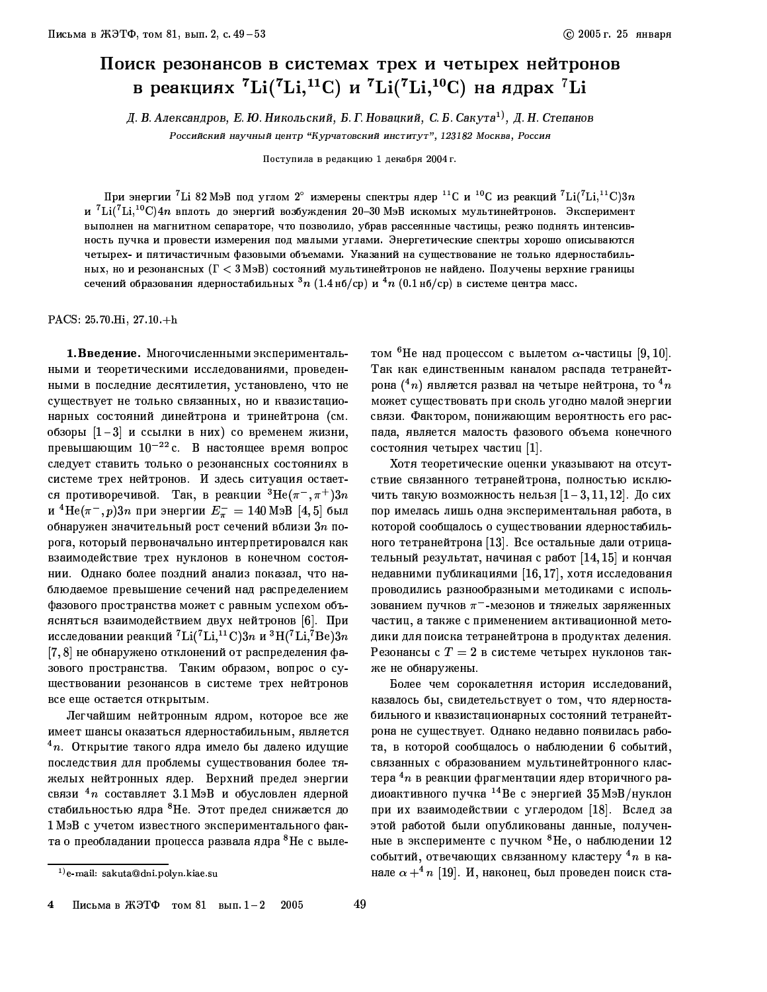## Поиск резонансов в системах трех и четырех нейтронов в реакциях  ${}^{7}$ Li( ${}^{7}$ Li, ${}^{11}$ C) и  ${}^{7}$ Li( ${}^{7}$ Li, ${}^{10}$ C) на ядрах  ${}^{7}$ Li

Д. В. Александров, Е. Ю. Никольский, Б. Г. Новацкий, С. Б. Сакута<sup>1)</sup>, Д. Н. Степанов Российский научный центр "Курчатовский институт", 123182 Москва, Россия

Поступила в редакцию 1 декабря 2004 г.

При энергии<sup>7</sup> Li 82 МэВ под углом 2° измерены спектры ядер <sup>11</sup>С и <sup>10</sup>С из реакций <sup>7</sup> Li(<sup>7</sup> Li, <sup>11</sup> C) 3n и  ${}^{7}$ Li( ${}^{7}$ Li, ${}^{10}$ C)4n вплоть до энергий возбуждения 20-30 MaB искомых мультинейтронов. Эксперимент выполнен на магнитном сепараторе, что позволило, убрав рассеянные частицы, резко поднять интенсивность пучка и провести измерения под малыми углами. Энергетические спектры хорошо описываются четырех- и пятичастичным фазовыми объемами. Указаний на существование не только ядерностабильных, но и резонансных ( $\Gamma < 3$  МэВ) состояний мультинейтронов не найдено. Получены верхние границы сечений образования ядерностабильных  $^3n$   $(1.4\,\text{\tiny H6}/\text{cp})$  и  $^4n$   $(0.1\,\text{\tiny H6}/\text{cp})$  в системе центра масс.

PACS: 25.70 Hi, 27.10 +h

1. Введение. Многочисленными экспериментальными и теоретическими исследованиями, проведенными в последние десятилетия, установлено, что не существует не только связанных, но и квазистационарных состояний динейтрона и тринейтрона (см. обзоры  $[1-3]$  и ссылки в них) со временем жизни, превышающим  $10^{-22}$  c. В настоящее время вопрос следует ставить только о резонансных состояниях в системе трех нейтронов. И здесь ситуация остается противоречивой. Так, в реакции  ${}^{3}$ Не $(\pi^{-}, \pi^{+})3n$ и <sup>4</sup>Не( $\pi^-$ , p)3n при энергии  $E_{\pi}^-$  = 140 МэВ [4, 5] был обнаружен значительный рост сечений вблизи  $3n$  порога, который первоначально интерпретировался как взаимодействие трех нуклонов в конечном состоянии. Однако более поздний анализ показал, что наблюдаемое превышение сечений над распределением фазового пространства может с равным успехом объясняться взаимодействием двух нейтронов [6]. При исследовании реакций  ${}^{7}\text{Li}({}^{7}\text{Li},{}^{11}\text{C})3n$  и  ${}^{3}\text{H}({}^{7}\text{Li},{}^{7}\text{Be})3n$ [7,8] не обнаружено отклонений от распределения фазового пространства. Таким образом, вопрос о существовании резонансов в системе трех нейтронов все еще остается открытым.

Легчайшим нейтронным ядром, которое все же имеет шансы оказаться ядерностабильным, является  $4n$ . Открытие такого ядра имело бы далеко идущие последствия для проблемы существования более тяжелых нейтронных ядер. Верхний предел энергии связи  $4n$  составляет 3.1 МэВ и обусловлен ядерной стабильностью ядра <sup>8</sup>Не. Этот предел снижается до 1 МэВ с учетом известного экспериментального факта о преобладании процесса развала ядра <sup>8</sup>Не с выле-

том  ${}^{6}$ Не над процессом с вылетом  $\alpha$ -частицы [9, 10]. Так как единственным каналом распада тетранейтрона  $(^4n)$  является развал на четыре нейтрона, то  $^4n$ может существовать при сколь угодно малой энергии связи. Фактором, понижающим вероятность его распада, является малость фазового объема конечного состояния четырех частиц [1].

Хотя теоретические оценки указывают на отсутствие связанного тетранейтрона, полностью исключить такую возможность нельзя  $[1-3, 11, 12]$ . До сих пор имелась лишь одна экспериментальная работа, в которой сообщалось о существовании ядерностабильного тетранейтрона [13]. Все остальные дали отрицательный результат, начиная с работ [14, 15] и кончая недавними публикациями [16,17], хотя исследования проводились разнообразными методиками с использованием пучков  $\pi^-$ -мезонов и тяжелых заряженных частиц, а также с применением активационной методики для поиска тетранейтрона в продуктах деления. Резонансы с  $T=2$  в системе четырех нуклонов также не обнаружены.

Более чем сорокалетняя история исследований, казалось бы, свидетельствует о том, что ядерностабильного и квазистационарных состояний тетранейтрона не существует. Однако недавно появилась работа, в которой сообщалось о наблюдении 6 событий, связанных с образованием мультинейтронного кластера  ${}^4n$  в реакции фрагментации ядер вторичного радиоактивного пучка <sup>14</sup> Ве с энергией 35 МэВ/нуклон при их взаимодействии с углеродом [18]. Вслед за этой работой были опубликованы данные, полученные в эксперименте с пучком  ${}^{8}$ Не, о наблюдении 12 событий, отвечающих связанному кластеру  ${}^{4}n$  в канале  $\alpha + ^4n$  [19]. И, наконец, был проведен поиск ста-

<sup>&</sup>lt;sup>1)</sup> e-mail: sakuta@dni.polyn.kiae.su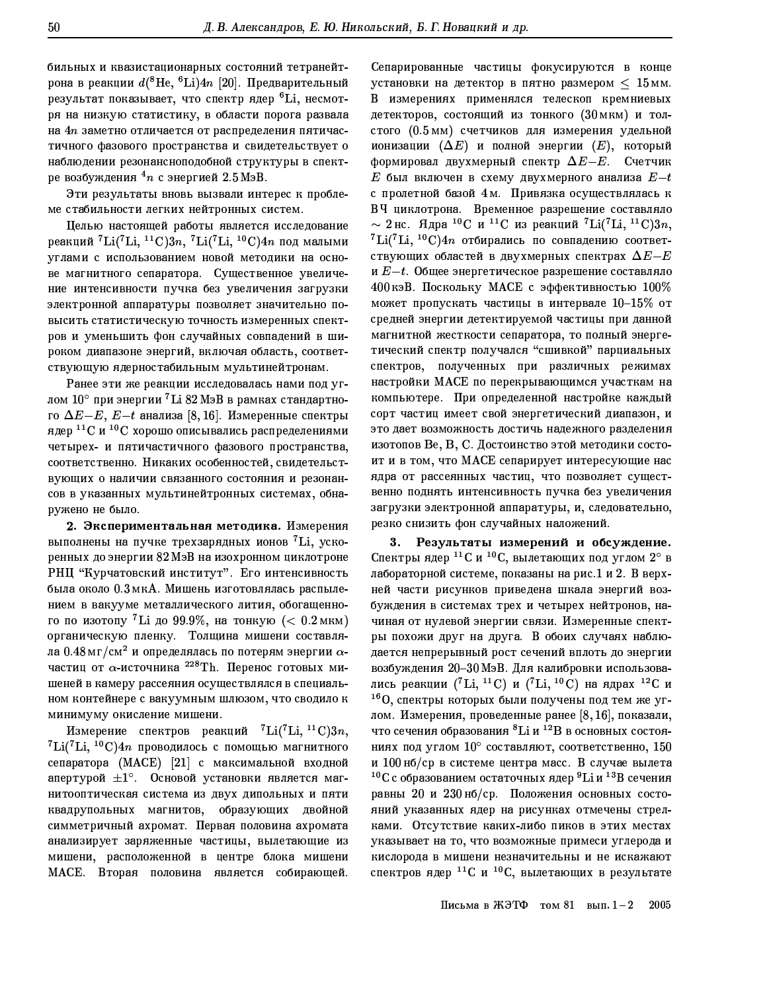бильных и квазистационарных состояний тетранейтрона в реакции  $d(^{8}He,~^{6}Li)4n$  [20]. Предварительный результат показывает, что спектр ядер <sup>6</sup>Li, несмотря на низкую статистику, в области порога развала на  $4n$  заметно отличается от распределения пятичастичного фазового пространства и свидетельствует о наблюдении резонансноподобной структуры в спектре возбуждения  $4n$  с энергией 2.5 МэВ.

Эти результаты вновь вызвали интерес к проблеме стабильности легких нейтронных систем.

Целью настоящей работы является исследование реакций  ${}^{7}$ Li( ${}^{7}$ Li,  ${}^{11}$ C)3n,  ${}^{7}$ Li( ${}^{7}$ Li,  ${}^{10}$ C)4n под малыми углами с использованием новой методики на основе магнитного сепаратора. Существенное увеличение интенсивности пучка без увеличения загрузки электронной аппаратуры позволяет значительно повысить статистическую точность измеренных спектров и уменьшить фон случайных совпадений в широком диапазоне энергий, включая область, соответствующую ядерностабильным мультинейтронам.

Ранее эти же реакции исследовалась нами под углом  $10^{\circ}$  при энергии <sup>7</sup> Li 82 M<sub>3</sub>B в рамках стандартного  $\Delta E - E$ ,  $E-t$  анализа [8, 16]. Измеренные спектры ядер  ${}^{11}$ С и  ${}^{10}$ С хорошо описывались распределениями четырех- и пятичастичного фазового пространства, соответственно. Никаких особенностей, свидетельствующих о наличии связанного состояния и резонансов в указанных мультинейтронных системах, обнаружено не было.

2. Экспериментальная методика. Измерения выполнены на пучке трехзарядных ионов <sup>7</sup>Li, ускоренных до энергии 82 МэВ на изохронном циклотроне РНЦ "Курчатовский институт". Его интенсивность была около 0.3 мкА. Мишень изготовлялась распылением в вакууме металлического лития, обогащенного по изотопу <sup>7</sup>Li до 99.9%, на тонкую (< 0.2 мкм) органическую пленку. Толщина мишени составляла 0.48 мг/см<sup>2</sup> и определялась по потерям энергии  $\alpha$ частиц от  $\alpha$ -источника  $^{228}{\rm Th.}$  Перенос готовых мишеней в камеру рассеяния осуществлялся в специальном контейнере с вакуумным шлюзом, что сводило к минимуму окисление мишени.

Измерение спектров реакций  ${}^{7}$ Li(<sup>7</sup>Li, <sup>11</sup>C)3n,  ${}^{7}$ Li( ${}^{7}$ Li,  ${}^{10}$ C)4n проводилось с помощью магнитного сепаратора (МАСЕ) [21] с максимальной входной апертурой  $\pm 1^{\circ}$ . Основой установки является магнитооптическая система из двух дипольных и пяти квадрупольных магнитов, образующих двойной симметричный ахромат. Первая половина ахромата анализирует заряженные частицы, вылетающие из мишени, расположенной в центре блока мишени МАСЕ. Вторая половина является собирающей. Сепарированные частицы фокусируются в конце установки на детектор в пятно размером  $\leq 15$  мм. В измерениях применялся телескоп кремниевых детекторов, состоящий из тонкого (30 мкм) и толстого (0.5 мм) счетчиков для измерения удельной ионизации  $(\Delta E)$  и полной энергии  $(E)$ , который формировал двухмерный спектр  $\Delta E - E$ . Счетчик  $E$  был включен в схему двухмерного анализа  $E-t$ с пролетной базой 4м. Привязка осуществлялась к ВЧ циклотрона. Временное разрешение составляло  $\sim 2$  нс. Ядра<sup>10</sup>С и <sup>11</sup>С из реакций <sup>7</sup>Li(<sup>7</sup>Li, <sup>11</sup>C)3n,  ${}^{7}\text{Li}({}^{7}\text{Li}, {}^{10}\text{C})4n$  отбирались по совпадению соответствующих областей в двухмерных спектрах  $\Delta E - E$ и  $E-t$ . Общее энергетическое разрешение составляло 400 кэВ. Поскольку МАСЕ с эффективностью 100% может пропускать частицы в интервале  $10-15\%$  от средней энергии детектируемой частицы при данной магнитной жесткости сепаратора, то полный энергетический спектр получался "сшивкой" парциальных спектров, полученных при различных режимах настройки МАСЕ по перекрывающимся участкам на компьютере. При определенной настройке каждый сорт частиц имеет свой энергетический диапазон, и это дает возможность достичь надежного разделения изотопов Ве, В, С. Достоинство этой методики состоит и в том, что МАСЕ сепарирует интересующие нас ядра от рассеянных частиц, что позволяет существенно поднять интенсивность пучка без увеличения загрузки электронной аппаратуры, и, следовательно, резко снизить фон случайных наложений.

3. Результаты измерений и обсуждение. Спектры ядер <sup>11</sup>С и <sup>10</sup>С, вылетающих под углом 2° в лабораторной системе, показаны на рис.1 и 2. В верхней части рисунков приведена шкала энергий возбуждения в системах трех и четырех нейтронов, начиная от нулевой энергии связи. Измеренные спектры похожи друг на друга. В обоих случаях наблюдается непрерывный рост сечений вплоть до энергии возбуждения 20-30 МэВ. Для калибровки использовались реакции (<sup>7</sup>Li, <sup>11</sup>C) и (<sup>7</sup>Li, <sup>10</sup>C) на ядрах <sup>12</sup>С и  $160$ , спектры которых были получены под тем же углом. Измерения, проведенные ранее [8,16], показали, что сечения образования <sup>8</sup>Li и <sup>12</sup>В в основных состояниях под углом  $10^{\circ}$  составляют, соответственно, 150 и 100 нб/ср в системе центра масс. В случае вылета  $10C$  с образованием остаточных ядер  $9Li$  и  $13B$  сечения равны 20 и 230 нб/ср. Положения основных состояний указанных ядер на рисунках отмечены стрелками. Отсутствие каких-либо пиков в этих местах указывает на то, что возможные примеси углерода и кислорода в мишени незначительны и не искажают спектров ядер  $^{11}C$  и  $^{10}C$ , вылетающих в результате

> Письма в ЖЭТФ том 81 вып.  $1-2$ 2005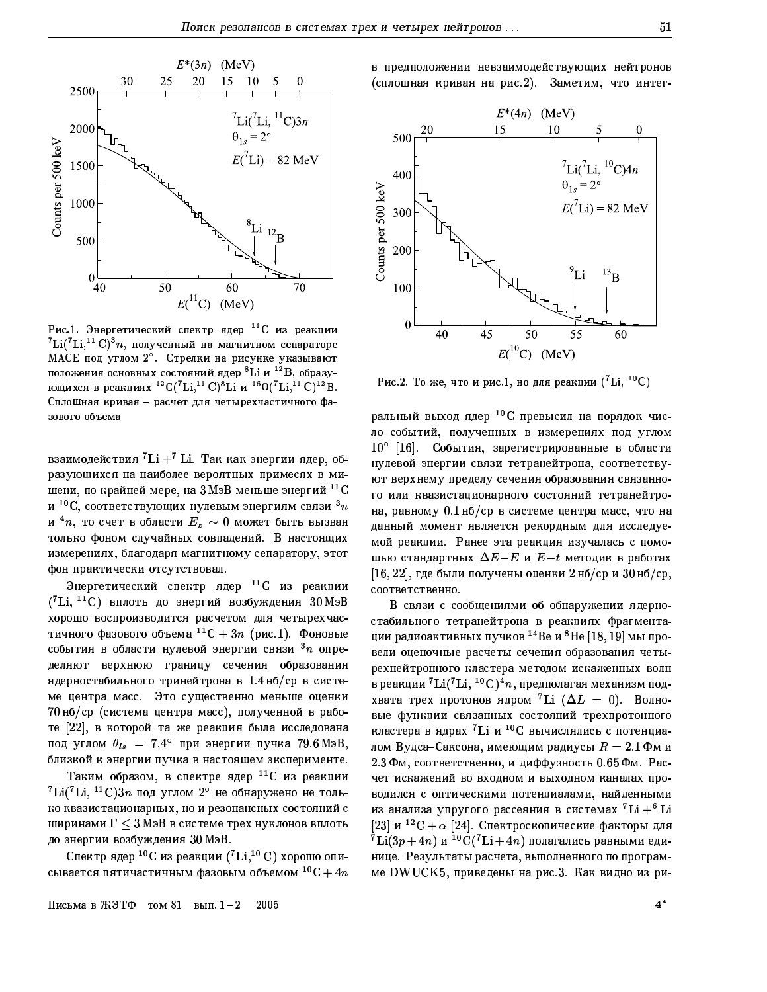

Рис.1. Энергетический спектр ядер <sup>11</sup>С из реакции  ${}^{7}\text{Li}({}^{7}\text{Li},{}^{11}\text{C})$ <sup>3</sup>n, полученный на магнитном сепараторе МАСЕ под углом 2°. Стрелки на рисунке указывают положения основных состояний ядер <sup>8</sup>Li и <sup>12</sup>В, образующихся в реакциях <sup>12</sup> C(<sup>7</sup>Li,<sup>11</sup> C)<sup>8</sup>Li и <sup>16</sup> O(<sup>7</sup>Li,<sup>11</sup> C)<sup>12</sup>B. Сплошная кривая - расчет для четырехчастичного фазового объема

взаимодействия  ${}^{7}$ Li +  ${}^{7}$  Li. Так как энергии ядер, образующихся на наиболее вероятных примесях в мишени, по крайней мере, на  $3$  Мэ $B$  меньше энергий  $^{11}$ C и  $^{10}{\rm C}$ , соответствующих нулевым энергиям связи  $^3n$ и  $^4n$ , то счет в области  $E_x \sim 0$  может быть вызван только фоном случайных совпадений. В настоящих измерениях, благодаря магнитному сепаратору, этот фон практически отсутствовал.

Энергетический спектр ядер <sup>11</sup>С из реакции  $({}^{7}\text{Li}, {}^{11}\text{C})$  вплоть до энергий возбуждения  $30\text{M}$ эВ хорошо воспроизводится расчетом для четырехчастичного фазового объема  ${}^{11}C + 3n$  (рис.1). Фоновые события в области нулевой энергии связи  $3n$  определяют верхнюю границу сечения образования ядерностабильного тринейтрона в 1.4 нб/ср в системе центра масс. Это существенно меньше оценки 70 нб/ср (система центра масс), полученной в работе [22], в которой та же реакция была исследована под углом  $\theta_{ls}$  = 7.4° при энергии пучка 79.6 МэВ, близкой к энергии пучка в настоящем эксперименте.

Таким образом, в спектре ядер <sup>11</sup>С из реакции  ${}^{7}$ Li(<sup>7</sup>Li, <sup>11</sup>C)3n под углом 2° не обнаружено не только квазистационарных, но и резонансных состояний с ширинами  $\Gamma < 3$  МэВ в системе трех нуклонов вплоть до энергии возбуждения 30 МэВ.

Спектр ядер <sup>10</sup>С из реакции (<sup>7</sup>Li,<sup>10</sup> C) хорошо описывается пятичастичным фазовым объемом  $^{10}$ C + 4n в предположении невзаимодействующих нейтронов (сплошная кривая на рис.2). Заметим, что интег-



Рис.2. То же, что и рис.1, но для реакции (<sup>7</sup>Li, <sup>10</sup>C)

ральный выход ядер <sup>10</sup>С превысил на порядок число событий, полученных в измерениях под углом 10° [16]. События, зарегистрированные в области нулевой энергии связи тетранейтрона, соответствуют верхнему пределу сечения образования связанного или квазистационарного состояний тетранейтрона, равному 0.1 нб/ср в системе центра масс, что на ланный момент является рекордным для исследуемой реакции. Ранее эта реакция изучалась с помощью стандартных  $\Delta E - E$  и  $E - t$  методик в работах  $[16, 22]$ , где были получены оценки 2 нб/ср и  $30$ нб/ср, соответственно.

В связи с сообщениями об обнаружении ядерностабильного тетранейтрона в реакциях фрагментации радиоактивных пучков <sup>14</sup>Ве и <sup>8</sup>Не [18, 19] мы провели оценочные расчеты сечения образования четырехнейтронного кластера методом искаженных волн в реакции  $^7$ Li( $^7$ Li,  $^{10}$ C) $^4n$ , предполагая механизм подхвата трех протонов ядром <sup>7</sup>Li ( $\Delta L = 0$ ). Волновые функции связанных состояний трехпротонного кластера в ядрах <sup>7</sup>Li и <sup>10</sup>С вычислялись с потенциалом Вудса-Саксона, имеющим радиусы  $R = 2.1 \Phi$ м и 2.3 Фм, соответственно, и диффузность 0.65 Фм. Расчет искажений во входном и выходном каналах проводился с оптическими потенциалами, найденными из анализа упругого рассеяния в системах  ${\rm ^7Li+^6Li}$ [23] и <sup>12</sup>С +  $\alpha$  [24]. Спектроскопические факторы для  $^{7}$ Li $(3p+4n)$  и  $^{10}$ C $(^{7}$ Li $+4n)$  полагались равными единице. Результаты расчета, выполненного по программе DWUCK5, приведены на рис.3. Как видно из ри-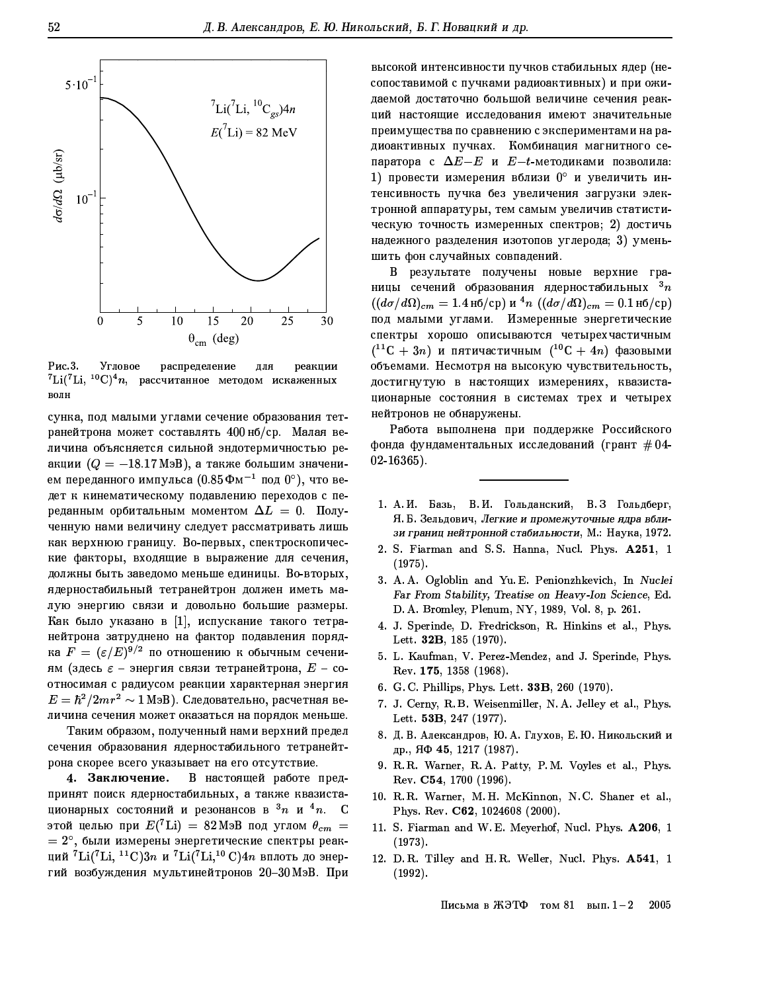

Рис. 3. Угловое распределение для реакции  ${}^{7}\text{Li}({}^{7}\text{Li},\ {}^{10}\text{C}){}^{4}n$ , рассчитанное методом искаженных волн

сунка, под малыми углами сечение образования тетранейтрона может составлять 400 нб/ср. Малая величина объясняется сильной эндотермичностью реакции  $(Q = -18.17 \text{ M}_3B)$ , а также большим значением переданного импульса  $(0.85 \Phi M^{-1}$  под  $0^{\circ})$ , что ведет к кинематическому подавлению переходов с переданным орбитальным моментом  $\Delta L = 0$ . Полученную нами величину следует рассматривать лишь как верхнюю границу. Во-первых, спектроскопические факторы, входящие в выражение для сечения, должны быть заведомо меньше единицы. Во-вторых, ядерностабильный тетранейтрон должен иметь малую энергию связи и довольно большие размеры. Как было указано в [1], испускание такого тетранейтрона затруднено на фактор подавления порядка  $F = (\varepsilon/E)^{9/2}$  по отношению к обычным сечениям (здесь  $\varepsilon$  - энергия связи тетранейтрона,  $E$  - соотносимая с радиусом реакции характерная энергия  $E=\hbar^2/2mr^2\sim 1$  МэВ). Следовательно, расчетная величина сечения может оказаться на порядок меньше.

Таким образом, полученный нами верхний предел сечения образования ядерностабильного тетранейтрона скорее всего указывает на его отсутствие.

4. Заключение. В настоящей работе предпринят поиск ядерностабильных, а также квазистационарных состояний и резонансов в  $^3n$  и  $^4n$ . С этой целью при  $E({}^7{\rm Li}) = 82$  МэВ под углом  $\theta_{cm} =$  $= 2^{\circ},$  были измерены энергетические спектры реакций  ${}^{7}\text{Li}({}^{7}\text{Li}, {}^{11}\text{C})3n$  и  ${}^{7}\text{Li}({}^{7}\text{Li}, {}^{10}\text{C})4n$  вплоть до энергий возбуждения мультинейтронов 20-30 МэВ. При высокой интенсивности пучков стабильных ядер (несопоставимой с пучками радиоактивных) и при ожидаемой достаточно большой величине сечения реакций настоящие исследования имеют значительные преимущества по сравнению с экспериментами на радиоактивных пучках. Комбинация магнитного сепаратора с  $\Delta E - E$  и  $E - t$ -методиками позволила: 1) провести измерения вблизи 0° и увеличить интенсивность пучка без увеличения загрузки электронной аппаратуры, тем самым увеличив статистическую точность измеренных спектров; 2) достичь надежного разделения изотопов углерода; 3) уменьшить фон случайных совпадений.

В результате получены новые верхние границы сечений образования ядерностабильных  $^3n$  $((d\sigma/d\Omega)_{cm} = 1.4 \text{ h}6/\text{cp}) \text{ u}^4 n ((d\sigma/d\Omega)_{cm} = 0.1 \text{ h}6/\text{cp})$ под малыми углами. Измеренные энергетические спектры хорошо описываются четырехчастичным  $(11C + 3n)$  и пятичастичным  $(10C + 4n)$  фазовыми объемами. Несмотря на высокую чувствительность, достигнутую в настоящих измерениях, квазистационарные состояния в системах трех и четырех нейтронов не обнаружены.

Работа выполнена при поддержке Российского фонда фундаментальных исследований (грант  $\#04$ - $02-16365$ ).

- 1. А.И. Базь, В.И. Гольданский, В.З Гольдберг, Я. Б. Зельдович, Легкие и промежуточные ядра вблизи границ нейтронной стабильности, М.: Наука, 1972.
- 2. S. Fiarman and S.S. Hanna, Nucl. Phys. A251, 1  $(1975).$
- 3. A. A. Ogloblin and Yu. E. Penionzhkevich, In Nuclei Far From Stability, Treatise on Heavy-Ion Science, Ed. D. A. Bromley, Plenum, NY, 1989, Vol. 8, p. 261.
- 4. J. Sperinde, D. Fredrickson, R. Hinkins et al., Phys. Lett. 32B, 185 (1970).
- 5. L. Kaufman, V. Perez-Mendez, and J. Sperinde, Phys. Rev. 175, 1358 (1968).
- 6. G.C. Phillips, Phys. Lett. 33B, 260 (1970).
- 7. J. Cerny, R. B. Weisenmiller, N. A. Jelley et al., Phys. Lett. 53B, 247 (1977).
- 8. Д. В. Александров, Ю. А. Глухов, Е. Ю. Никольский и др., ЯФ 45, 1217 (1987).
- 9. R. R. Warner, R. A. Patty, P. M. Voyles et al., Phys. Rev. C54, 1700 (1996).
- 10. R.R. Warner, M.H. McKinnon, N.C. Shaner et al., Phys. Rev. C62, 1024608 (2000).
- 11. S. Fiarman and W.E. Meyerhof, Nucl. Phys. A206, 1  $(1973)$ .
- 12. D.R. Tilley and H.R. Weller, Nucl. Phys. A541, 1  $(1992)$ .